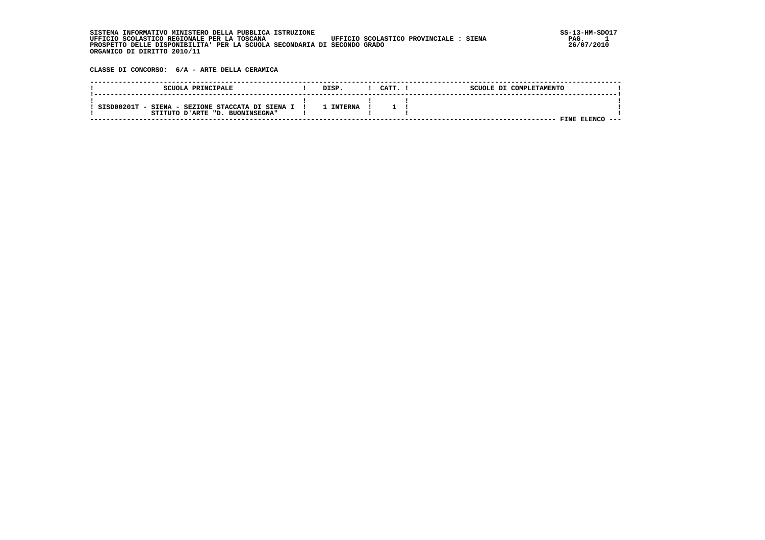SISTEMA INFORMATIVO MINISTERO DELLA PUBBLICA ISTRUZIONE **in provinci de la provinciale de la provinciale de la p**<br>UFFICIO SCOLASTICO REGIONALE PER LA TOSCANA UFFICIO SCOLASTICO PROVINCIALE : SIENA PAG. 1  $PAG.$  1<br>26/07/2010  **PROSPETTO DELLE DISPONIBILITA' PER LA SCUOLA SECONDARIA DI SECONDO GRADO 26/07/2010 ORGANICO DI DIRITTO 2010/11**

 **CLASSE DI CONCORSO: 6/A - ARTE DELLA CERAMICA**

| SCUOLA PRINCIPALE                                                                   | DISP.   | CATT. | SCUOLE DI COMPLETAMENTO |      |
|-------------------------------------------------------------------------------------|---------|-------|-------------------------|------|
| SISD00201T - SIENA - SEZIONE STACCATA DI SIENA I<br>STITUTO D'ARTE "D. BUONINSEGNA" | TNTERNA |       |                         |      |
|                                                                                     |         |       | FINE ELENCO             | ---- |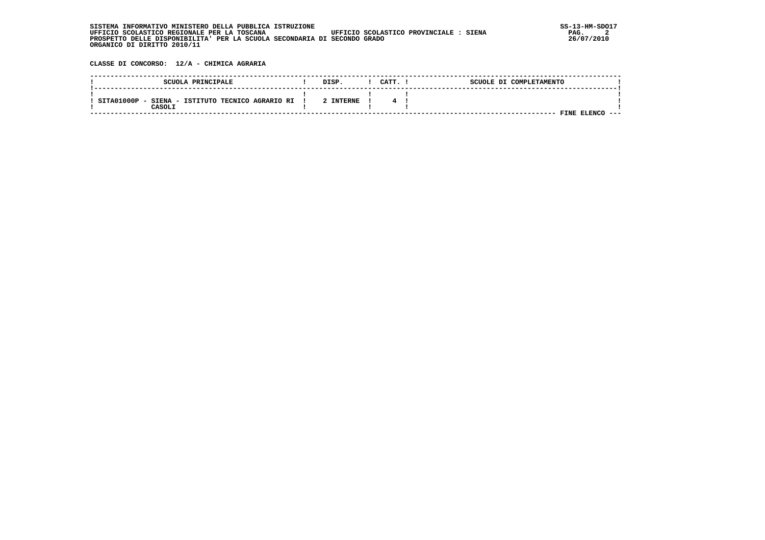| INFORMATIVO MINISTERO DELLA PUBBLICA ISTRUZIONE<br>STSTEMA                            | SS-13-HM-SDC |
|---------------------------------------------------------------------------------------|--------------|
| UFFICIO SCOLASTICO REGIONALE PER LA TOSCANA<br>UFFICIO SCOLASTICO PROVINCIALE : SIENA | PAG.         |
| PROSPETTO DELLE DISPONIBILITA' PER LA SCUOLA SECONDARIA DI SECONDO GRADO              | 26/07/2010   |
| ORGANICO DI DIRITTO 2010/11                                                           |              |

 **CLASSE DI CONCORSO: 12/A - CHIMICA AGRARIA**

| SCUOLA PRINCIPALE                                                     | DISP.     | CATT. | SCUOLE DI COMPLETAMENTO |      |
|-----------------------------------------------------------------------|-----------|-------|-------------------------|------|
| SITA01000P<br>SIENA - ISTITUTO TECNICO AGRARIO RI<br>$\sim$<br>CASOLI | 2 INTERNE |       |                         |      |
|                                                                       |           |       | FINE<br><b>ELENC(</b>   | ---- |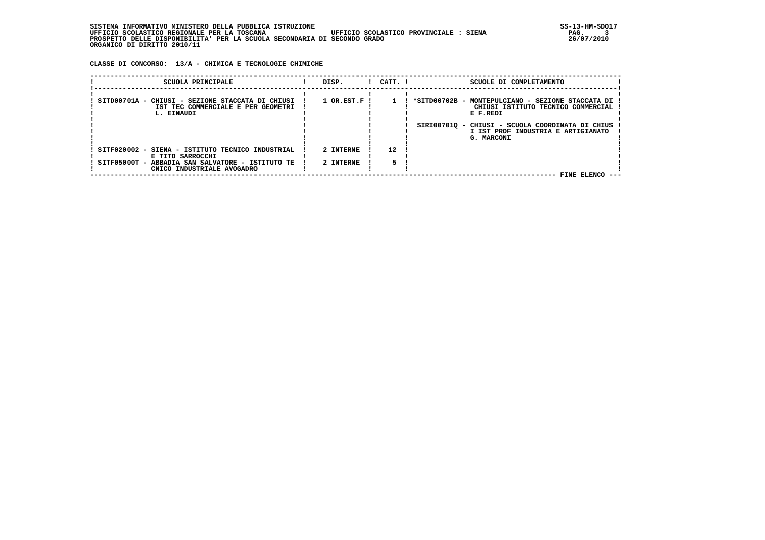| INFORMATIVO MINISTERO DELLA PUBBLICA ISTRUZIONE<br>STSTEMA                            | SS-13-HM-SDC |
|---------------------------------------------------------------------------------------|--------------|
| UFFICIO SCOLASTICO REGIONALE PER LA TOSCANA<br>UFFICIO SCOLASTICO PROVINCIALE : SIENA | PAG.         |
| PROSPETTO DELLE DISPONIBILITA' PER LA SCUOLA SECONDARIA DI SECONDO GRADO              | 26/07/2010   |
| ORGANICO DI DIRITTO 2010/11                                                           |              |

 **CLASSE DI CONCORSO: 13/A - CHIMICA E TECNOLOGIE CHIMICHE**

| SCUOLA PRINCIPALE                                                                                                                                      | DISP.                       | $1$ $CATT$ . $1$ | SCUOLE DI COMPLETAMENTO                                                                                                                                                                                       |
|--------------------------------------------------------------------------------------------------------------------------------------------------------|-----------------------------|------------------|---------------------------------------------------------------------------------------------------------------------------------------------------------------------------------------------------------------|
| SITD00701A - CHIUSI - SEZIONE STACCATA DI CHIUSI<br>IST TEC COMMERCIALE E PER GEOMETRI<br>L. EINAUDI                                                   | $1$ OR.EST.F $\overline{1}$ |                  | *SITD00702B - MONTEPULCIANO - SEZIONE STACCATA DI !<br>CHIUSI ISTITUTO TECNICO COMMERCIAL<br>E F.REDI<br>SIRI007010 - CHIUSI - SCUOLA COORDINATA DI CHIUS<br>I IST PROF INDUSTRIA E ARTIGIANATO<br>G. MARCONI |
| SITF020002 - SIENA - ISTITUTO TECNICO INDUSTRIAL<br>E TITO SARROCCHI<br>SITF05000T - ABBADIA SAN SALVATORE - ISTITUTO TE<br>CNICO INDUSTRIALE AVOGADRO | 2 INTERNE<br>2 INTERNE      | 12               | FINE ELENCO --                                                                                                                                                                                                |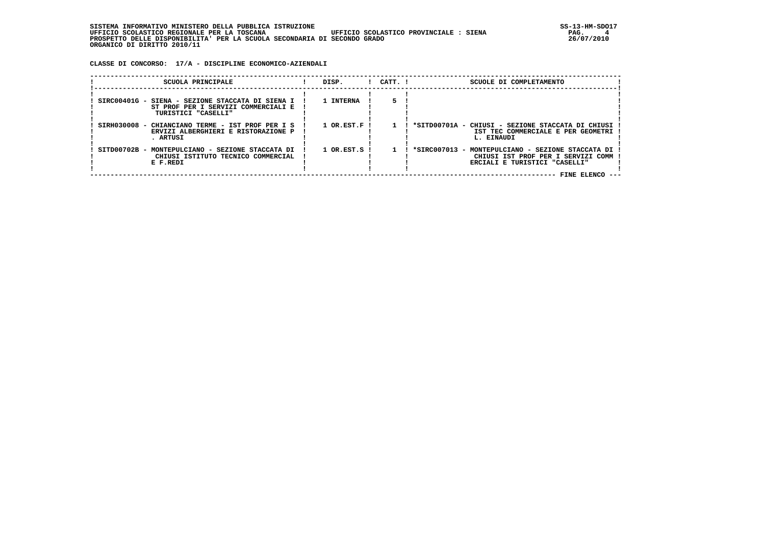**CLASSE DI CONCORSO: 17/A - DISCIPLINE ECONOMICO-AZIENDALI**

| $1$ $CATT$ . $1$<br>SCUOLA PRINCIPALE<br>DISP.<br>SCUOLE DI COMPLETAMENTO<br>1 INTERNA<br>SIRC00401G - SIENA - SEZIONE STACCATA DI SIENA I<br>ST PROF PER I SERVIZI COMMERCIALI E<br>TURISTICI "CASELLI"<br>SIRH030008 - CHIANCIANO TERME - IST PROF PER I S<br>$1$ OR.EST.F $\overline{1}$<br>*SITD00701A - CHIUSI - SEZIONE STACCATA DI CHIUSI<br>IST TEC COMMERCIALE E PER GEOMETRI<br>ERVIZI ALBERGHIERI E RISTORAZIONE P<br>. ARTUSI<br>L. EINAUDI<br>$1$ OR.EST.S !<br>*SIRC007013 - MONTEPULCIANO - SEZIONE STACCATA DI<br>SITD00702B - MONTEPULCIANO - SEZIONE STACCATA DI<br>CHIUSI ISTITUTO TECNICO COMMERCIAL<br>CHIUSI IST PROF PER I SERVIZI COMM<br>E F.REDI<br>ERCIALI E TURISTICI "CASELLI" |  |  |  |  |
|-------------------------------------------------------------------------------------------------------------------------------------------------------------------------------------------------------------------------------------------------------------------------------------------------------------------------------------------------------------------------------------------------------------------------------------------------------------------------------------------------------------------------------------------------------------------------------------------------------------------------------------------------------------------------------------------------------------|--|--|--|--|
|                                                                                                                                                                                                                                                                                                                                                                                                                                                                                                                                                                                                                                                                                                             |  |  |  |  |
|                                                                                                                                                                                                                                                                                                                                                                                                                                                                                                                                                                                                                                                                                                             |  |  |  |  |
|                                                                                                                                                                                                                                                                                                                                                                                                                                                                                                                                                                                                                                                                                                             |  |  |  |  |
| <b>FINE ELENCO</b>                                                                                                                                                                                                                                                                                                                                                                                                                                                                                                                                                                                                                                                                                          |  |  |  |  |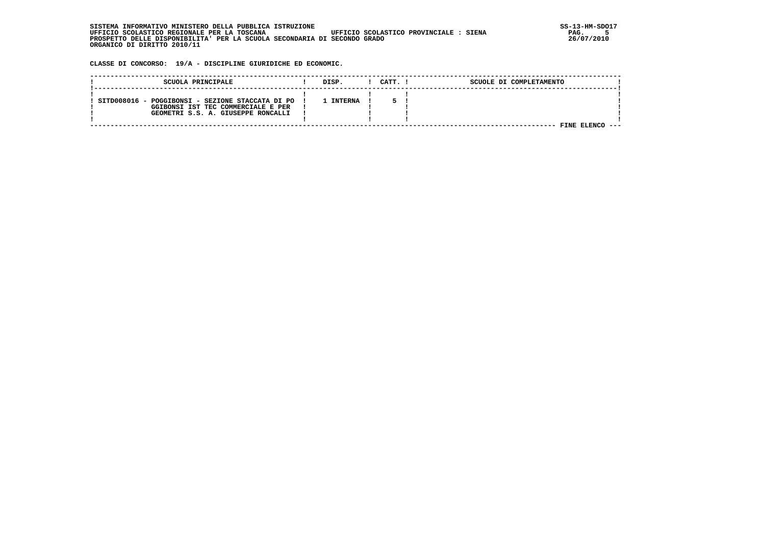| SISTEMA INFORMATIVO MINISTERO DELLA PUBBLICA ISTRUZIONE                               | SS-13-HM-SDC |
|---------------------------------------------------------------------------------------|--------------|
| UFFICIO SCOLASTICO REGIONALE PER LA TOSCANA<br>UFFICIO SCOLASTICO PROVINCIALE : SIENA | PAG.         |
| PROSPETTO DELLE DISPONIBILITA' PER LA SCUOLA SECONDARIA DI SECONDO GRADO              | 26/07/2010   |
| ORGANICO DI DIRITTO 2010/11                                                           |              |

 **CLASSE DI CONCORSO: 19/A - DISCIPLINE GIURIDICHE ED ECONOMIC.**

| SCUOLA PRINCIPALE                                | DISP.          | CATT. | SCUOLE DI COMPLETAMENTO |  |
|--------------------------------------------------|----------------|-------|-------------------------|--|
|                                                  |                |       |                         |  |
| SITD008016 - POGGIBONSI - SEZIONE STACCATA DI PO | <b>INTERNA</b> |       |                         |  |
| GGIBONSI IST TEC COMMERCIALE E PER               |                |       |                         |  |
| GEOMETRI S.S. A. GIUSEPPE RONCALLI               |                |       |                         |  |
|                                                  |                |       |                         |  |
|                                                  |                |       | FINE                    |  |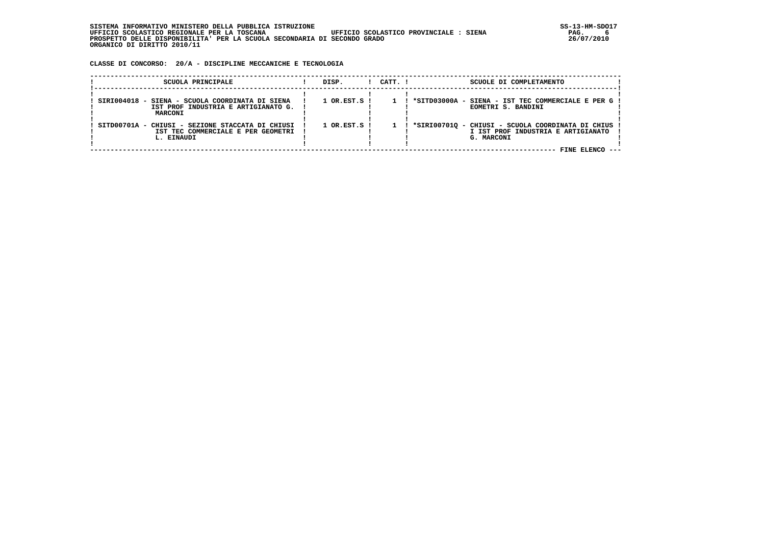| . INFORMATIVO MINISTERO DELLA PUBBLICA ISTRUZIONE<br>STSTEMA                          | SS-13-HM-SDC |
|---------------------------------------------------------------------------------------|--------------|
| UFFICIO SCOLASTICO PROVINCIALE : SIENA<br>UFFICIO SCOLASTICO REGIONALE PER LA TOSCANA | PAG.         |
| PROSPETTO DELLE DISPONIBILITA' PER LA SCUOLA SECONDARIA DI SECONDO GRADO              | 26/07/2010   |
| ORGANICO DI DIRITTO 2010/11                                                           |              |

 **CLASSE DI CONCORSO: 20/A - DISCIPLINE MECCANICHE E TECNOLOGIA**

| SCUOLA PRINCIPALE                                | DISP.                       | $1$ $CATT$ . $1$ | SCUOLE DI COMPLETAMENTO                               |  |
|--------------------------------------------------|-----------------------------|------------------|-------------------------------------------------------|--|
|                                                  |                             |                  |                                                       |  |
|                                                  |                             |                  |                                                       |  |
| SIRI004018 - SIENA - SCUOLA COORDINATA DI SIENA  | 1 OR.EST.S !                |                  | ! *SITD03000A - SIENA - IST TEC COMMERCIALE E PER G ! |  |
| IST PROF INDUSTRIA E ARTIGIANATO G.              |                             |                  | EOMETRI S. BANDINI                                    |  |
| MARCONI                                          |                             |                  |                                                       |  |
|                                                  |                             |                  |                                                       |  |
| SITD00701A - CHIUSI - SEZIONE STACCATA DI CHIUSI | $1$ OR.EST.S $\overline{1}$ |                  | *SIRI00701Q - CHIUSI - SCUOLA COORDINATA DI CHIUS     |  |
| IST TEC COMMERCIALE E PER GEOMETRI               |                             |                  | I IST PROF INDUSTRIA E ARTIGIANATO                    |  |
| L. EINAUDI                                       |                             |                  | G. MARCONI                                            |  |
|                                                  |                             |                  |                                                       |  |
|                                                  |                             |                  | FINE FLENCO                                           |  |
|                                                  |                             |                  |                                                       |  |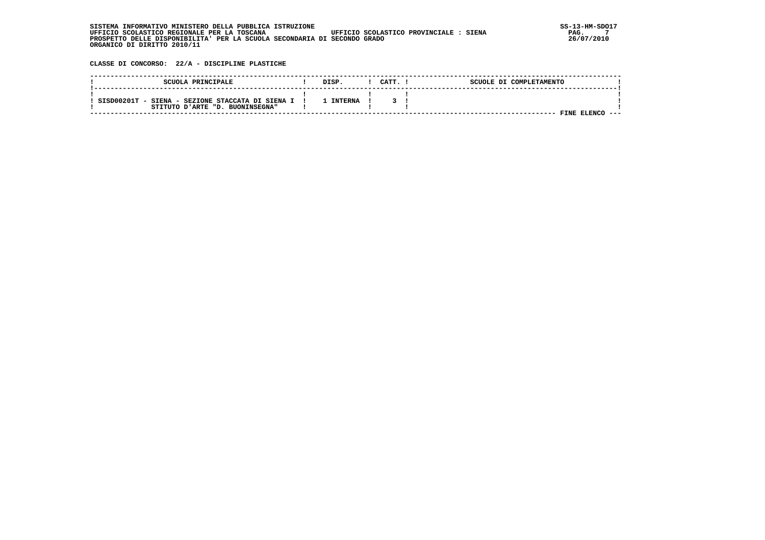| . INFORMATIVO MINISTERO DELLA PUBBLICA ISTRUZIONE<br>STSTEMA                          | SS-13-HM-SDC |
|---------------------------------------------------------------------------------------|--------------|
| UFFICIO SCOLASTICO REGIONALE PER LA TOSCANA<br>UFFICIO SCOLASTICO PROVINCIALE : SIENA | PAG.         |
| PROSPETTO DELLE DISPONIBILITA' PER LA SCUOLA SECONDARIA DI SECONDO GRADO              | 26/07/2010   |
| ORGANICO DI DIRITTO 2010/11                                                           |              |

 **CLASSE DI CONCORSO: 22/A - DISCIPLINE PLASTICHE**

| SCUOLA PRINCIPALE                                                                     | DISP           | CATT. | SCUOLE DI COMPLETAMENTO |
|---------------------------------------------------------------------------------------|----------------|-------|-------------------------|
| SISD00201T - SIENA - SEZIONE STACCATA DI SIENA I !<br>STITUTO D'ARTE "D. BUONINSEGNA" | <b>INTERNA</b> |       |                         |
|                                                                                       |                |       | FINE ELENCO<br>---      |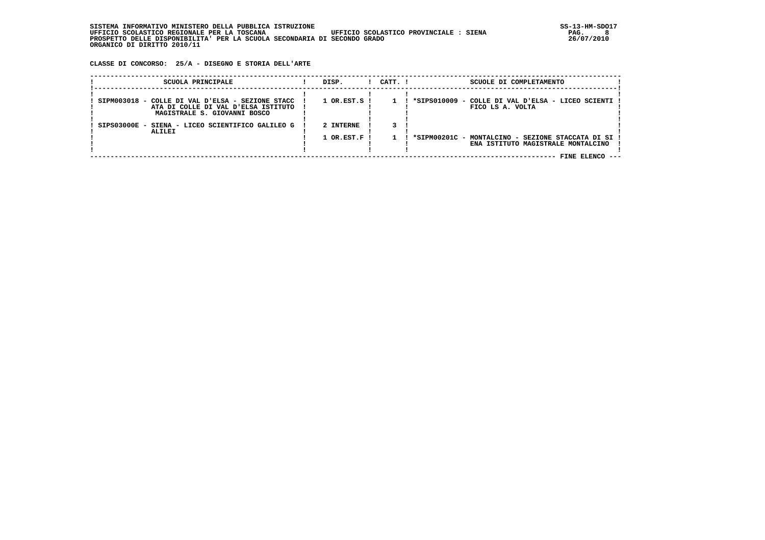| . INFORMATIVO MINISTERO DELLA PUBBLICA ISTRUZIONE<br>STSTEMA                          | SS-13-HM-SDC |
|---------------------------------------------------------------------------------------|--------------|
| UFFICIO SCOLASTICO REGIONALE PER LA TOSCANA<br>UFFICIO SCOLASTICO PROVINCIALE : SIENA | PAG.         |
| PROSPETTO DELLE DISPONIBILITA' PER LA SCUOLA SECONDARIA DI SECONDO GRADO              | 26/07/2010   |
| ORGANICO DI DIRITTO 2010/11                                                           |              |

 **CLASSE DI CONCORSO: 25/A - DISEGNO E STORIA DELL'ARTE**

| SCUOLA PRINCIPALE                                                                                                       | DISP.                       | $!$ $CATT$ . $!$ | SCUOLE DI COMPLETAMENTO                                                                   |  |
|-------------------------------------------------------------------------------------------------------------------------|-----------------------------|------------------|-------------------------------------------------------------------------------------------|--|
| SIPM003018 - COLLE DI VAL D'ELSA - SEZIONE STACC<br>ATA DI COLLE DI VAL D'ELSA ISTITUTO<br>MAGISTRALE S. GIOVANNI BOSCO | $1$ OR.EST.S $\overline{1}$ |                  | *SIPS010009 - COLLE DI VAL D'ELSA - LICEO SCIENTI !<br>FICO LS A. VOLTA                   |  |
| SIPS03000E - SIENA - LICEO SCIENTIFICO GALILEO G<br><b>ALILEI</b>                                                       | 2 INTERNE                   |                  |                                                                                           |  |
|                                                                                                                         | $1$ OR.EST.F !              |                  | *SIPM00201C - MONTALCINO - SEZIONE STACCATA DI SI !<br>ENA ISTITUTO MAGISTRALE MONTALCINO |  |
|                                                                                                                         |                             |                  | FINE ELENCO ---                                                                           |  |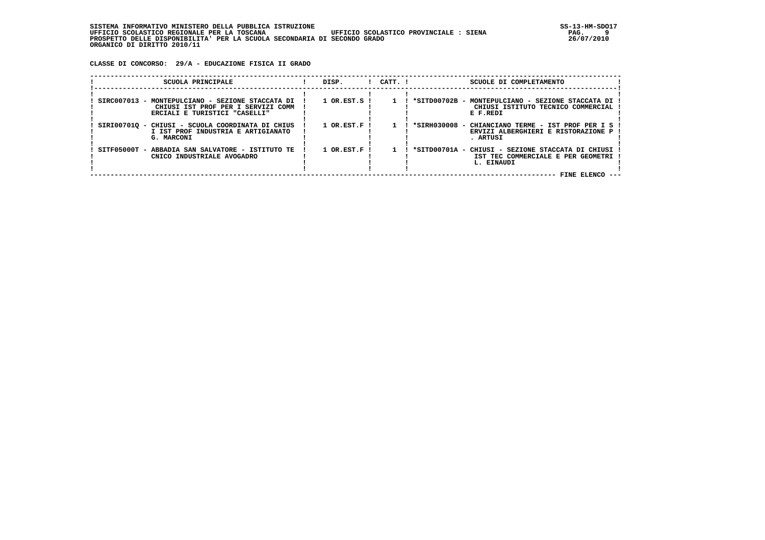**CLASSE DI CONCORSO: 29/A - EDUCAZIONE FISICA II GRADO**

| SCUOLA PRINCIPALE                                                                                                       | DISP.                       | $1$ $CATT$ . $1$ | SCUOLE DI COMPLETAMENTO                                                                                |  |
|-------------------------------------------------------------------------------------------------------------------------|-----------------------------|------------------|--------------------------------------------------------------------------------------------------------|--|
| SIRC007013 - MONTEPULCIANO - SEZIONE STACCATA DI<br>CHIUSI IST PROF PER I SERVIZI COMM<br>ERCIALI E TURISTICI "CASELLI" | 1 OR.EST.S !                | $\mathbf{1}$     | *SITD00702B - MONTEPULCIANO - SEZIONE STACCATA DI<br>CHIUSI ISTITUTO TECNICO COMMERCIAL<br>E F.REDI    |  |
| SIRI007010 - CHIUSI - SCUOLA COORDINATA DI CHIUS<br>I IST PROF INDUSTRIA E ARTIGIANATO<br>G. MARCONI                    | $1$ OR.EST.F !              |                  | *SIRH030008 - CHIANCIANO TERME - IST PROF PER I S<br>ERVIZI ALBERGHIERI E RISTORAZIONE P !<br>. ARTUSI |  |
| SITF05000T - ABBADIA SAN SALVATORE - ISTITUTO TE<br>CNICO INDUSTRIALE AVOGADRO                                          | $1$ OR.EST.F $\overline{1}$ |                  | *SITD00701A - CHIUSI - SEZIONE STACCATA DI CHIUSI<br>IST TEC COMMERCIALE E PER GEOMETRI<br>L. EINAUDI  |  |
|                                                                                                                         |                             |                  | FINE ELENCO                                                                                            |  |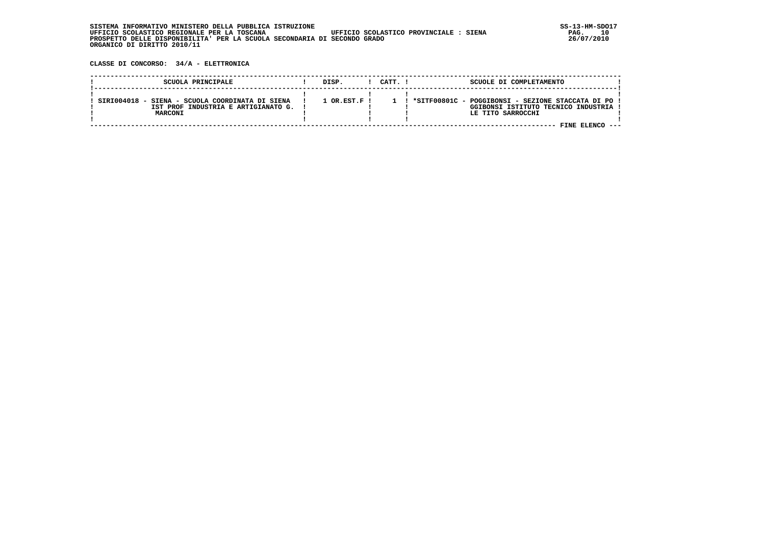| SISTEMA INFORMATIVO MINISTERO DELLA PUBBLICA ISTRUZIONE                               | SS-13-HM-SDC |
|---------------------------------------------------------------------------------------|--------------|
| UFFICIO SCOLASTICO REGIONALE PER LA TOSCANA<br>UFFICIO SCOLASTICO PROVINCIALE : SIENA | 10<br>PAG.   |
| PROSPETTO DELLE DISPONIBILITA' PER LA SCUOLA SECONDARIA DI SECONDO GRADO              | 26/07/2010   |
| ORGANICO DI DIRITTO 2010/11                                                           |              |

 **CLASSE DI CONCORSO: 34/A - ELETTRONICA**

| SCUOLA PRINCIPALE                                                                                 | DISP.                | CATT. ! | SCUOLE DI COMPLETAMENTO                                                                                           |  |
|---------------------------------------------------------------------------------------------------|----------------------|---------|-------------------------------------------------------------------------------------------------------------------|--|
| SIRI004018 - SIENA - SCUOLA COORDINATA DI SIENA<br>IST PROF INDUSTRIA E ARTIGIANATO G.<br>MARCONI | $1$ OR $RST$ $F$ $I$ |         | ! *SITF00801C - POGGIBONSI - SEZIONE STACCATA DI PO !<br>GGIBONSI ISTITUTO TECNICO INDUSTRIA<br>LE TITO SARROCCHI |  |
|                                                                                                   |                      |         |                                                                                                                   |  |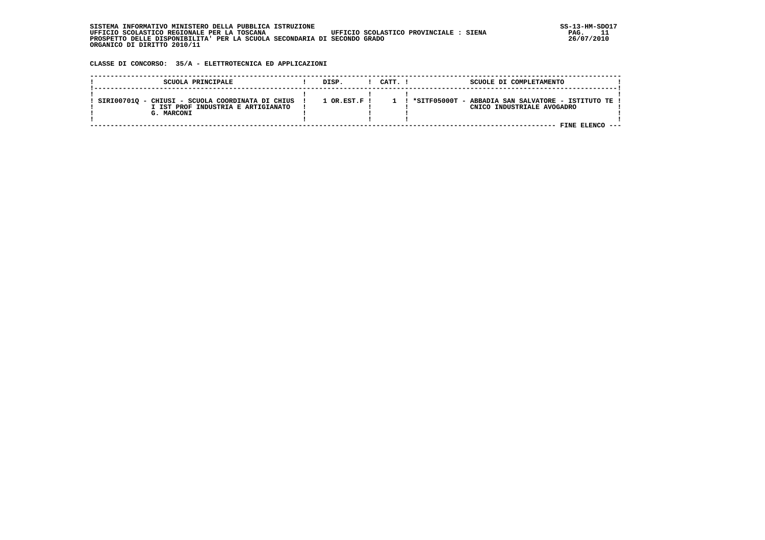| . INFORMATIVO MINISTERO DELLA PUBBLICA ISTRUZIONE<br>STSTEMA                          | SS-13-HM-SDC |
|---------------------------------------------------------------------------------------|--------------|
| UFFICIO SCOLASTICO PROVINCIALE : SIENA<br>UFFICIO SCOLASTICO REGIONALE PER LA TOSCANA | PAG.         |
| PROSPETTO DELLE DISPONIBILITA' PER LA SCUOLA SECONDARIA DI SECONDO GRADO              | 26/07/2010   |
| ORGANICO DI DIRITTO 2010/11                                                           |              |

 **CLASSE DI CONCORSO: 35/A - ELETTROTECNICA ED APPLICAZIONI**

| SCUOLA PRINCIPALE                                                                                    | DISP.                    | CATT. ! | SCUOLE DI COMPLETAMENTO                                                             |  |
|------------------------------------------------------------------------------------------------------|--------------------------|---------|-------------------------------------------------------------------------------------|--|
| SIRI00701Q - CHIUSI - SCUOLA COORDINATA DI CHIUS<br>I IST PROF INDUSTRIA E ARTIGIANATO<br>G. MARCONI | $1$ OR.EST.F $\mathsf I$ |         | ! *SITF05000T - ABBADIA SAN SALVATORE - ISTITUTO TE !<br>CNICO INDUSTRIALE AVOGADRO |  |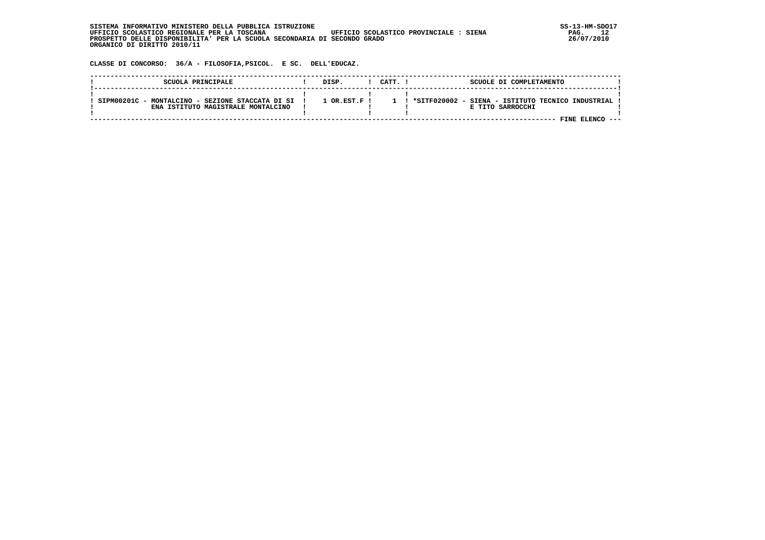| SISTEMA INFORMATIVO MINISTERO DELLA PUBBLICA ISTRUZIONE                               | $SS-13-HM-SDO17$ |
|---------------------------------------------------------------------------------------|------------------|
| UFFICIO SCOLASTICO PROVINCIALE : SIENA<br>UFFICIO SCOLASTICO REGIONALE PER LA TOSCANA | PAG.             |
| PROSPETTO DELLE DISPONIBILITA' PER LA SCUOLA SECONDARIA DI SECONDO GRADO              | 26/07/2010       |
| ORGANICO DI DIRITTO 2010/11                                                           |                  |

 **CLASSE DI CONCORSO: 36/A - FILOSOFIA,PSICOL. E SC. DELL'EDUCAZ.**

| SCUOLA PRINCIPALE                                                                      | DISP.                | CATT. ! | SCUOLE DI COMPLETAMENTO                                                                    |  |
|----------------------------------------------------------------------------------------|----------------------|---------|--------------------------------------------------------------------------------------------|--|
| SIPM00201C - MONTALCINO - SEZIONE STACCATA DI SI<br>ENA ISTITUTO MAGISTRALE MONTALCINO | $1$ OR $RST$ $F$ $I$ |         | 1 ! *SITF020002 - SIENA - ISTITUTO TECNICO INDUSTRIAL !<br>E TITO SARROCCHI<br>FINE ELENCO |  |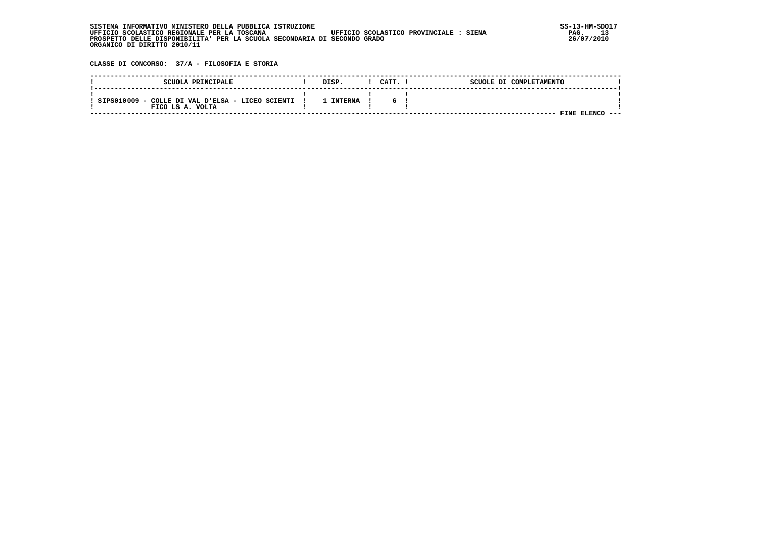| INFORMATIVO MINISTERO DELLA PUBBLICA ISTRUZIONE<br>STSTEMA                            | SS-13-HM-SDC |
|---------------------------------------------------------------------------------------|--------------|
| UFFICIO SCOLASTICO REGIONALE PER LA TOSCANA<br>UFFICIO SCOLASTICO PROVINCIALE : SIENA | าว<br>PAG.   |
| PROSPETTO DELLE DISPONIBILITA' PER LA SCUOLA SECONDARIA DI SECONDO GRADO              | 26/07/2010   |
| ORGANICO DI DIRITTO 2010/11                                                           |              |

 **CLASSE DI CONCORSO: 37/A - FILOSOFIA E STORIA**

| SCUOLA PRINCIPALE                                                    | DISP.     | CATT. | SCUOLE DI COMPLETAMENTO |
|----------------------------------------------------------------------|-----------|-------|-------------------------|
| SIPS010009 - COLLE DI VAL D'ELSA - LICEO SCIENTI<br>FICO LS A. VOLTA | L INTERNA | 6.    |                         |
|                                                                      |           |       | FINE ELENC              |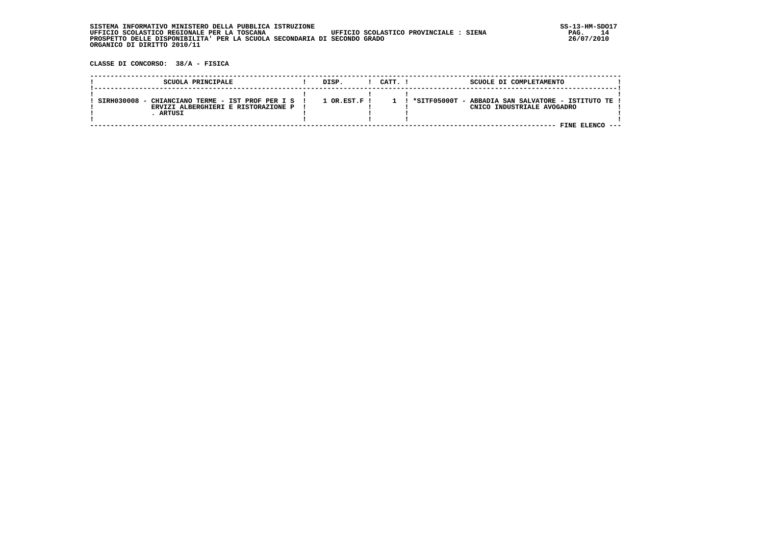| , INFORMATIVO MINISTERO DELLA PUBBLICA ISTRUZIONE<br>STSTEMA                          | SS-13-HM-SDC |
|---------------------------------------------------------------------------------------|--------------|
| UFFICIO SCOLASTICO REGIONALE PER LA TOSCANA<br>UFFICIO SCOLASTICO PROVINCIALE : SIENA | PAG.         |
| PROSPETTO DELLE DISPONIBILITA' PER LA SCUOLA SECONDARIA DI SECONDO GRADO              | 26/07/2010   |
| ORGANICO DI DIRITTO 2010/11                                                           |              |

 **CLASSE DI CONCORSO: 38/A - FISICA**

| SCUOLA PRINCIPALE                                                                                   | DISP.                  | CATT. ! | SCUOLE DI COMPLETAMENTO                                                                           |  |
|-----------------------------------------------------------------------------------------------------|------------------------|---------|---------------------------------------------------------------------------------------------------|--|
| SIRH030008 - CHIANCIANO TERME - IST PROF PER I S !<br>ERVIZI ALBERGHIERI E RISTORAZIONE P<br>ARTUSI | $1$ OR $RST$ , $F$ $I$ |         | ! *SITF05000T - ABBADIA SAN SALVATORE - ISTITUTO TE !<br>CNICO INDUSTRIALE AVOGADRO<br>FINE FLENC |  |
|                                                                                                     |                        |         |                                                                                                   |  |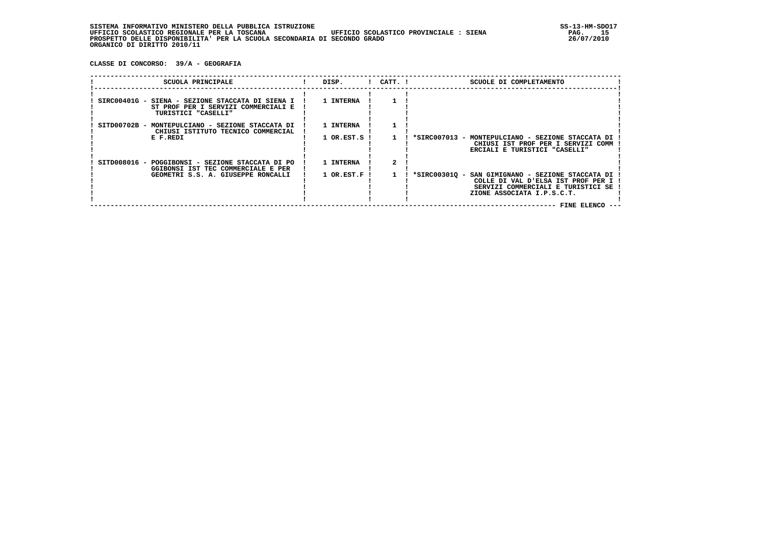**CLASSE DI CONCORSO: 39/A - GEOGRAFIA**

| SCUOLA PRINCIPALE                                                                                              | DISP.      | $!$ $CATT$ . $!$ | SCUOLE DI COMPLETAMENTO                                                                                                                                                            |
|----------------------------------------------------------------------------------------------------------------|------------|------------------|------------------------------------------------------------------------------------------------------------------------------------------------------------------------------------|
| SIRC00401G - SIENA - SEZIONE STACCATA DI SIENA I<br>ST PROF PER I SERVIZI COMMERCIALI E<br>TURISTICI "CASELLI" | 1 INTERNA  |                  |                                                                                                                                                                                    |
| SITD00702B - MONTEPULCIANO - SEZIONE STACCATA DI<br>CHIUSI ISTITUTO TECNICO COMMERCIAL                         | 1 INTERNA  |                  |                                                                                                                                                                                    |
| E F.REDI                                                                                                       | 1 OR.EST.S |                  | *SIRC007013 -<br>MONTEPULCIANO - SEZIONE STACCATA DI<br>CHIUSI IST PROF PER I SERVIZI COMM<br>ERCIALI E TURISTICI "CASELLI"                                                        |
| SITD008016 - POGGIBONSI - SEZIONE STACCATA DI PO<br>GGIBONSI IST TEC COMMERCIALE E PER                         | 1 INTERNA  |                  |                                                                                                                                                                                    |
| GEOMETRI S.S. A. GIUSEPPE RONCALLI                                                                             | 1 OR.EST.F |                  | *SIRC003010 -<br>SAN GIMIGNANO - SEZIONE STACCATA DI<br>COLLE DI VAL D'ELSA IST PROF PER I !<br>SERVIZI COMMERCIALI E TURISTICI SE<br>ZIONE ASSOCIATA I.P.S.C.T.<br>FINE ELENCO -- |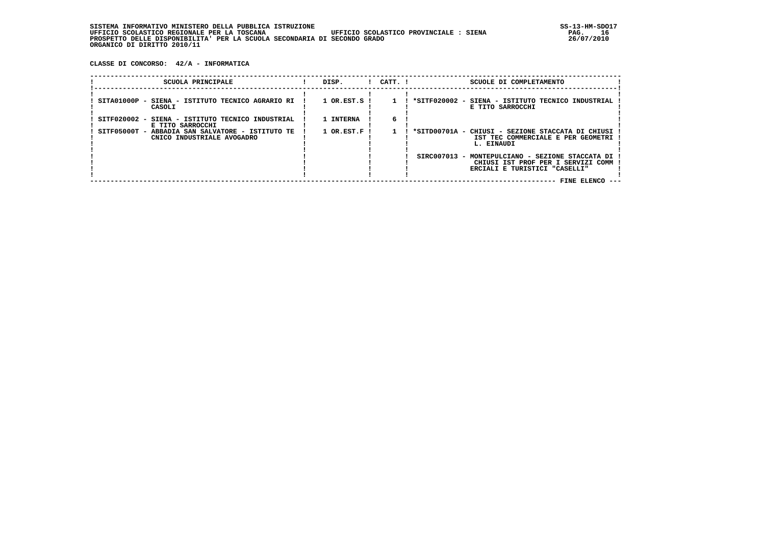**CLASSE DI CONCORSO: 42/A - INFORMATICA**

| SCUOLA PRINCIPALE                                                              | DISP.               | $!$ $CATT$ . $!$ | SCUOLE DI COMPLETAMENTO                                                                                  |  |
|--------------------------------------------------------------------------------|---------------------|------------------|----------------------------------------------------------------------------------------------------------|--|
| SITA01000P - SIENA - ISTITUTO TECNICO AGRARIO RI<br>CASOLI                     | $1$ OR.EST.S $1$    |                  | *SITF020002 - SIENA - ISTITUTO TECNICO INDUSTRIAL<br>E TITO SARROCCHI                                    |  |
| SITF020002 - SIENA - ISTITUTO TECNICO INDUSTRIAL<br>E TITO SARROCCHI           | 1 INTERNA           |                  |                                                                                                          |  |
| SITF05000T - ABBADIA SAN SALVATORE - ISTITUTO TE<br>CNICO INDUSTRIALE AVOGADRO | $1$ OR.EST.F $\,$ I |                  | *SITD00701A -<br>CHIUSI - SEZIONE STACCATA DI CHIUSI<br>IST TEC COMMERCIALE E PER GEOMETRI<br>L. EINAUDI |  |
|                                                                                |                     |                  | SIRC007013 - MONTEPULCIANO - SEZIONE STACCATA DI                                                         |  |
|                                                                                |                     |                  | CHIUSI IST PROF PER I SERVIZI COMM<br>ERCIALI E TURISTICI "CASELLI"                                      |  |
|                                                                                |                     |                  | FINE ELENCO --                                                                                           |  |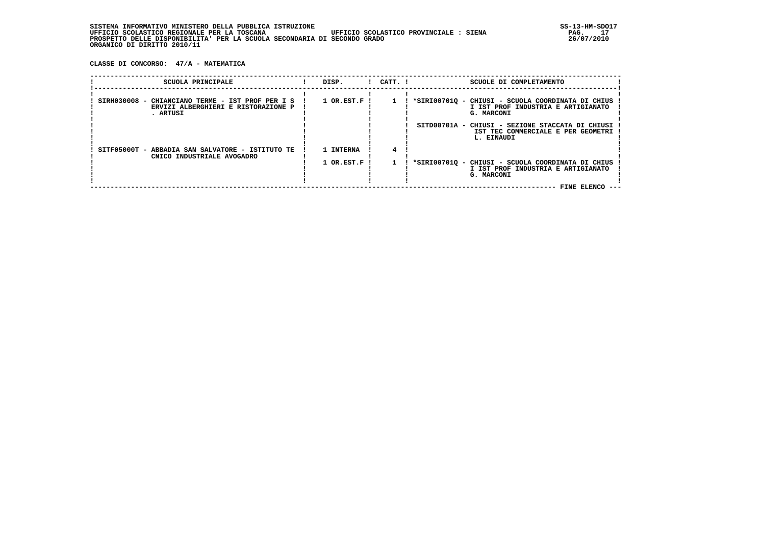| , INFORMATIVO MINISTERO DELLA PUBBLICA ISTRUZIONE<br>STSTEMA                          | SS-13-HM-SDC |
|---------------------------------------------------------------------------------------|--------------|
| UFFICIO SCOLASTICO REGIONALE PER LA TOSCANA<br>UFFICIO SCOLASTICO PROVINCIALE : SIENA | 17<br>PAG.   |
| PROSPETTO DELLE DISPONIBILITA' PER LA SCUOLA SECONDARIA DI SECONDO GRADO              | 26/07/2010   |
| ORGANICO DI DIRITTO 2010/11                                                           |              |

 **CLASSE DI CONCORSO: 47/A - MATEMATICA**

| SCUOLA PRINCIPALE                                                                                   | DISP.        | $!$ $CATT$ . $!$ | SCUOLE DI COMPLETAMENTO                                                                                                     |  |
|-----------------------------------------------------------------------------------------------------|--------------|------------------|-----------------------------------------------------------------------------------------------------------------------------|--|
| SIRH030008 - CHIANCIANO TERME - IST PROF PER I S<br>ERVIZI ALBERGHIERI E RISTORAZIONE P<br>. ARTUSI | 1 OR.EST.F ! |                  | *SIRI00701Q - CHIUSI - SCUOLA COORDINATA DI CHIUS<br>I IST PROF INDUSTRIA E ARTIGIANATO<br>G. MARCONI                       |  |
|                                                                                                     |              |                  | SITD00701A - CHIUSI - SEZIONE STACCATA DI CHIUSI<br>IST TEC COMMERCIALE E PER GEOMETRI<br>L. EINAUDI                        |  |
| SITF05000T - ABBADIA SAN SALVATORE - ISTITUTO TE<br>CNICO INDUSTRIALE AVOGADRO                      | 1 INTERNA    |                  |                                                                                                                             |  |
|                                                                                                     | 1 OR.EST.F ! |                  | *SIRI00701Q - CHIUSI - SCUOLA COORDINATA DI CHIUS<br>I IST PROF INDUSTRIA E ARTIGIANATO<br>G. MARCONI<br><b>FINE ELENCO</b> |  |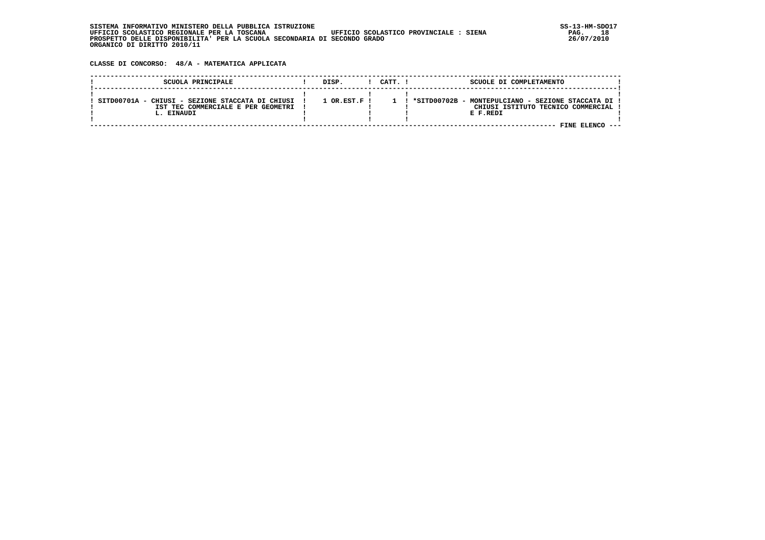**CLASSE DI CONCORSO: 48/A - MATEMATICA APPLICATA**

| SCUOLA PRINCIPALE                                | DISP.                | CATT. I | SCUOLE DI COMPLETAMENTO                             |
|--------------------------------------------------|----------------------|---------|-----------------------------------------------------|
| SITD00701A - CHIUSI - SEZIONE STACCATA DI CHIUSI | $1$ OR $RST$ $F$ $I$ |         | *SITD00702B - MONTEPULCIANO - SEZIONE STACCATA DI ! |
| IST TEC COMMERCIALE E PER GEOMETRI               |                      |         | CHIUSI ISTITUTO TECNICO COMMERCIAL                  |
| L. EINAUDI                                       |                      |         | E F.REDI                                            |
|                                                  |                      |         |                                                     |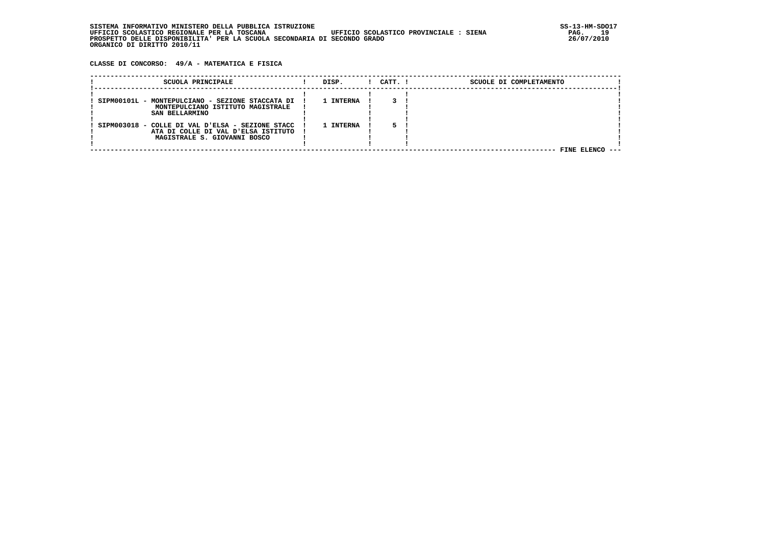**CLASSE DI CONCORSO: 49/A - MATEMATICA E FISICA**

| SCUOLA PRINCIPALE                                                   | DISP.     | $1$ $CATT$ . $1$ | SCUOLE DI COMPLETAMENTO |
|---------------------------------------------------------------------|-----------|------------------|-------------------------|
| SIPM00101L - MONTEPULCIANO - SEZIONE STACCATA DI                    | 1 INTERNA |                  |                         |
| MONTEPULCIANO ISTITUTO MAGISTRALE<br>SAN BELLARMINO                 |           |                  |                         |
| SIPM003018 - COLLE DI VAL D'ELSA - SEZIONE STACC                    | 1 INTERNA |                  |                         |
| ATA DI COLLE DI VAL D'ELSA ISTITUTO<br>MAGISTRALE S. GIOVANNI BOSCO |           |                  |                         |
|                                                                     |           |                  |                         |
|                                                                     |           |                  | FINE ELENCO<br>----     |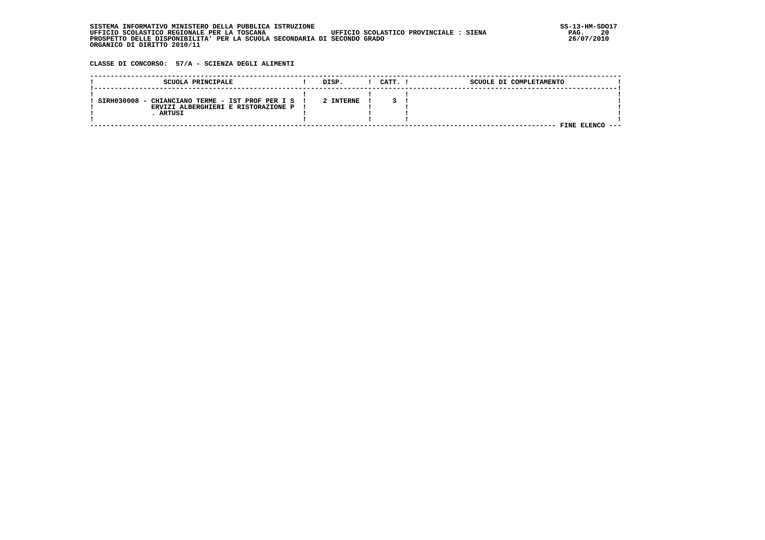| . INFORMATIVO MINISTERO DELLA PUBBLICA ISTRUZIONE<br>STSTEMA                          | SS-13-HM-SDC |
|---------------------------------------------------------------------------------------|--------------|
| UFFICIO SCOLASTICO PROVINCIALE : SIENA<br>UFFICIO SCOLASTICO REGIONALE PER LA TOSCANA | 20<br>PAG.   |
| PROSPETTO DELLE DISPONIBILITA' PER LA SCUOLA SECONDARIA DI SECONDO GRADO              | 26/07/2010   |
| ORGANICO DI DIRITTO 2010/11                                                           |              |

 **CLASSE DI CONCORSO: 57/A - SCIENZA DEGLI ALIMENTI**

| SCUOLA PRINCIPALE                                                                       | DISP.     | CATT. I | SCUOLE DI COMPLETAMENTO |  |
|-----------------------------------------------------------------------------------------|-----------|---------|-------------------------|--|
| SIRH030008 - CHIANCIANO TERME - IST PROF PER I S<br>ERVIZI ALBERGHIERI E RISTORAZIONE P | 2 INTERNE |         |                         |  |
| ARTUSI                                                                                  |           |         |                         |  |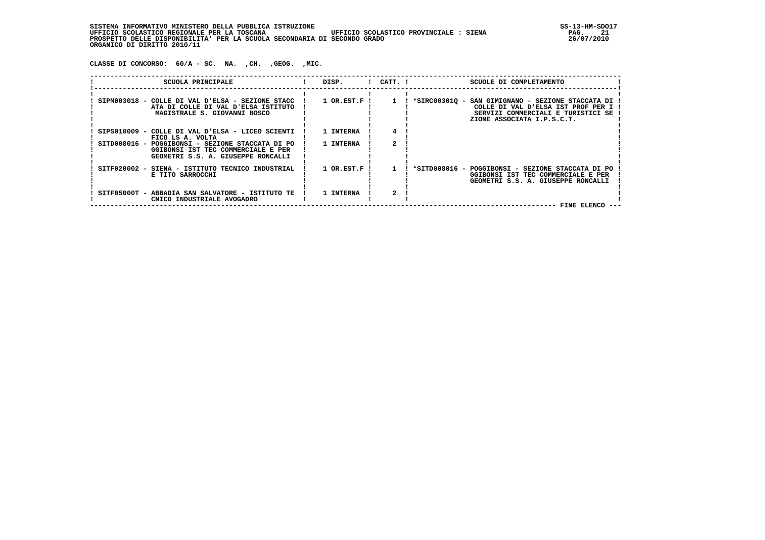SISTEMA INFORMATIVO MINISTERO DELLA PUBBLICA ISTRUZIONE<br>UFFICIO SCOLASTICO REGIONALE PER LA TOSCANA UFFICIO SCOLASTICO PROVINCIALE : SIENA STEMA PAG. 21  **UFFICIO SCOLASTICO REGIONALE PER LA TOSCANA UFFICIO SCOLASTICO PROVINCIALE : SIENA PAG. 21 PROSPETTO DELLE DISPONIBILITA' PER LA SCUOLA SECONDARIA DI SECONDO GRADO 26/07/2010 ORGANICO DI DIRITTO 2010/11**

 **CLASSE DI CONCORSO: 60/A - SC. NA. ,CH. ,GEOG. ,MIC.**

| SCUOLA PRINCIPALE                                                                                                            | DISP.            | $!$ $CATT$ . $!$ | SCUOLE DI COMPLETAMENTO                                                                                                                                     |
|------------------------------------------------------------------------------------------------------------------------------|------------------|------------------|-------------------------------------------------------------------------------------------------------------------------------------------------------------|
| SIPM003018 - COLLE DI VAL D'ELSA - SEZIONE STACC<br>ATA DI COLLE DI VAL D'ELSA ISTITUTO<br>MAGISTRALE S. GIOVANNI BOSCO      | $1$ OR.EST.F!    |                  | *SIRC003010 - SAN GIMIGNANO - SEZIONE STACCATA DI<br>COLLE DI VAL D'ELSA IST PROF PER I<br>SERVIZI COMMERCIALI E TURISTICI SE<br>ZIONE ASSOCIATA I.P.S.C.T. |
| SIPS010009 - COLLE DI VAL D'ELSA - LICEO SCIENTI<br>FICO LS A. VOLTA                                                         | 1 INTERNA        |                  |                                                                                                                                                             |
| SITD008016 - POGGIBONSI - SEZIONE STACCATA DI PO<br>GGIBONSI IST TEC COMMERCIALE E PER<br>GEOMETRI S.S. A. GIUSEPPE RONCALLI | 1 INTERNA        |                  |                                                                                                                                                             |
| SITF020002 - SIENA - ISTITUTO TECNICO INDUSTRIAL<br>E TITO SARROCCHI                                                         | $1$ OR.EST.F $1$ |                  | *SITD008016 - POGGIBONSI - SEZIONE STACCATA DI PO<br>GGIBONSI IST TEC COMMERCIALE E PER<br>GEOMETRI S.S. A. GIUSEPPE RONCALLI                               |
| SITF05000T - ABBADIA SAN SALVATORE - ISTITUTO TE<br>CNICO INDUSTRIALE AVOGADRO                                               | 1 INTERNA        |                  | FINE ELENCO --                                                                                                                                              |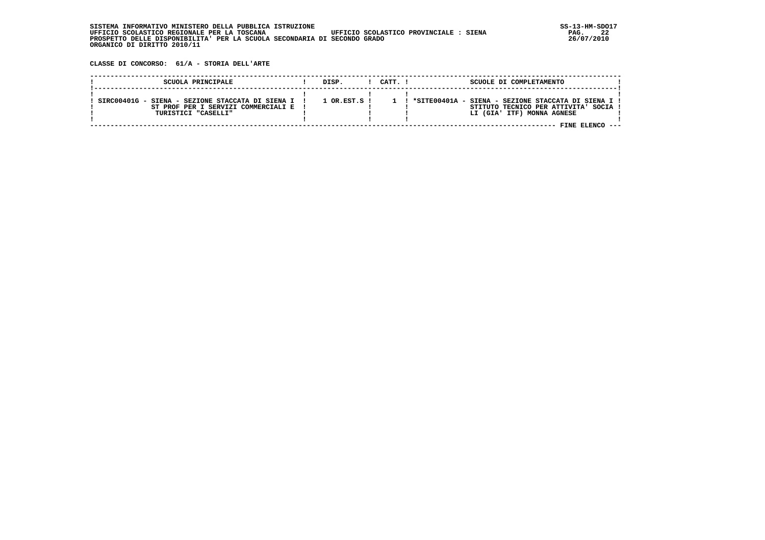| , INFORMATIVO MINISTERO DELLA PUBBLICA ISTRUZIONE<br>STSTEMA                          | SS-13-HM-SDC |
|---------------------------------------------------------------------------------------|--------------|
| UFFICIO SCOLASTICO REGIONALE PER LA TOSCANA<br>UFFICIO SCOLASTICO PROVINCIALE : SIENA | 22<br>PAG.   |
| PROSPETTO DELLE DISPONIBILITA' PER LA SCUOLA SECONDARIA DI SECONDO GRADO              | 26/07/2010   |
| ORGANICO DI DIRITTO 2010/11                                                           |              |

 **CLASSE DI CONCORSO: 61/A - STORIA DELL'ARTE**

| SCUOLA PRINCIPALE                                                                                                  | DISP.            | CATT. I | SCUOLE DI COMPLETAMENTO                                                                                                      |  |
|--------------------------------------------------------------------------------------------------------------------|------------------|---------|------------------------------------------------------------------------------------------------------------------------------|--|
| SIRC00401G - SIENA - SEZIONE STACCATA DI SIENA I !<br>ST PROF PER I SERVIZI COMMERCIALI E !<br>TURISTICI "CASELLI" | $1$ OR $RST.S$ ! |         | ! *SITE00401A - SIENA - SEZIONE STACCATA DI SIENA I !<br>STITUTO TECNICO PER ATTIVITA' SOCIA !<br>LI (GIA' ITF) MONNA AGNESE |  |
|                                                                                                                    |                  |         | FINE FLENCO                                                                                                                  |  |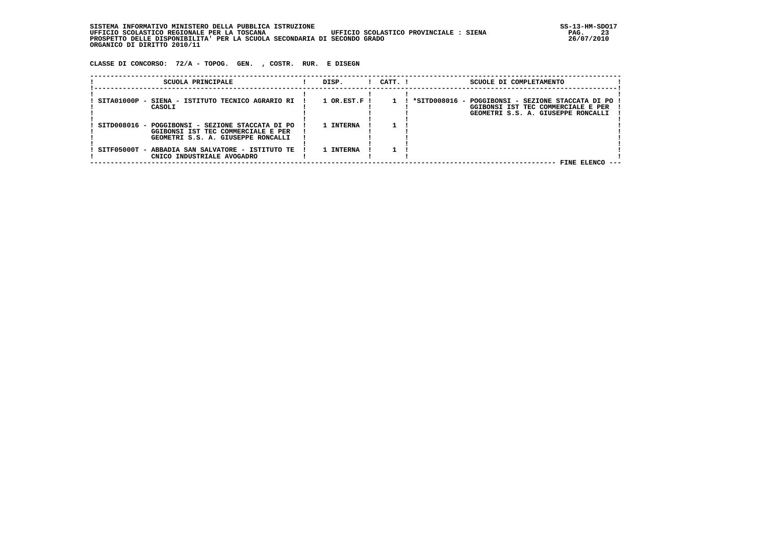**SISTEMA INFORMATIVO MINISTERO DELLA PUBBLICA ISTRUZIONE SS-13-HM-SDO17 UFFICIO SCOLASTICO REGIONALE PER LA TOSCANA UFFICIO SCOLASTICO PROVINCIALE : SIENA PAG. 23 PROSPETTO DELLE DISPONIBILITA' PER LA SCUOLA SECONDARIA DI SECONDO GRADO 26/07/2010 ORGANICO DI DIRITTO 2010/11**

 **CLASSE DI CONCORSO: 72/A - TOPOG. GEN. , COSTR. RUR. E DISEGN**

| SCUOLA PRINCIPALE                                                                                                            | DISP.          | $!$ $CATT$ . $!$ | SCUOLE DI COMPLETAMENTO                                                                                                       |
|------------------------------------------------------------------------------------------------------------------------------|----------------|------------------|-------------------------------------------------------------------------------------------------------------------------------|
| SITA01000P - SIENA - ISTITUTO TECNICO AGRARIO RI<br>CASOLI                                                                   | $1$ OR.EST.F ! |                  | *SITD008016 - POGGIBONSI - SEZIONE STACCATA DI PO<br>GGIBONSI IST TEC COMMERCIALE E PER<br>GEOMETRI S.S. A. GIUSEPPE RONCALLI |
| SITD008016 - POGGIBONSI - SEZIONE STACCATA DI PO<br>GGIBONSI IST TEC COMMERCIALE E PER<br>GEOMETRI S.S. A. GIUSEPPE RONCALLI | 1 INTERNA      |                  |                                                                                                                               |
| SITF05000T - ABBADIA SAN SALVATORE - ISTITUTO TE<br>CNICO INDUSTRIALE AVOGADRO                                               | 1 INTERNA      |                  | FINE ELENCO ---                                                                                                               |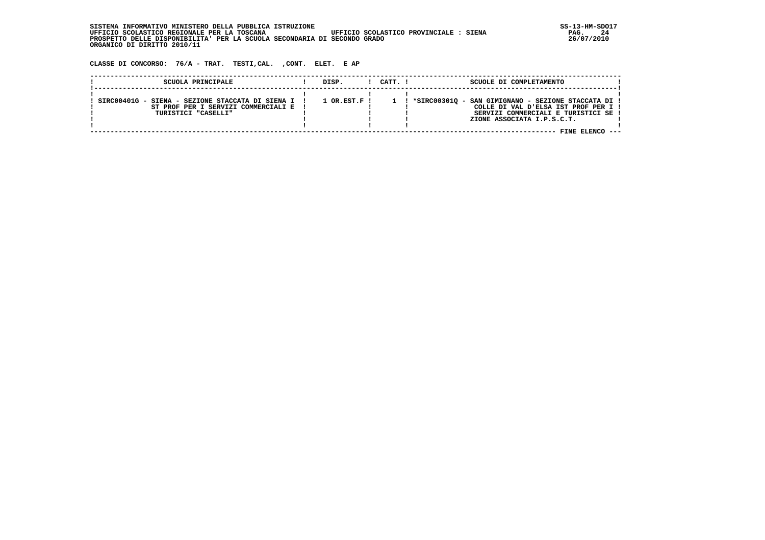SISTEMA INFORMATIVO MINISTERO DELLA PUBBLICA ISTRUZIONE<br>1946. UFFICIO SCOLASTICO REGIONALE PER LA TOSCANA UFFICIO SCOLASTICO PROVINCIALE : SIENA  **UFFICIO SCOLASTICO REGIONALE PER LA TOSCANA UFFICIO SCOLASTICO PROVINCIALE : SIENA PAG. 24 PROSPETTO DELLE DISPONIBILITA' PER LA SCUOLA SECONDARIA DI SECONDO GRADO 26/07/2010 ORGANICO DI DIRITTO 2010/11**

 **CLASSE DI CONCORSO: 76/A - TRAT. TESTI,CAL. ,CONT. ELET. E AP**

| SCUOLA PRINCIPALE                                                                                                  | DISP.          | CATT. I | SCUOLE DI COMPLETAMENTO                                                                                                                                                            |  |
|--------------------------------------------------------------------------------------------------------------------|----------------|---------|------------------------------------------------------------------------------------------------------------------------------------------------------------------------------------|--|
| SIRC00401G - SIENA - SEZIONE STACCATA DI SIENA I !<br>ST PROF PER I SERVIZI COMMERCIALI E !<br>TURISTICI "CASELLI" | $1$ OR.EST.F ! |         | ! *SIRC003010 - SAN GIMIGNANO - SEZIONE STACCATA DI !<br>COLLE DI VAL D'ELSA IST PROF PER I !<br>SERVIZI COMMERCIALI E TURISTICI SE !<br>ZIONE ASSOCIATA I.P.S.C.T.<br>FINE ELENCO |  |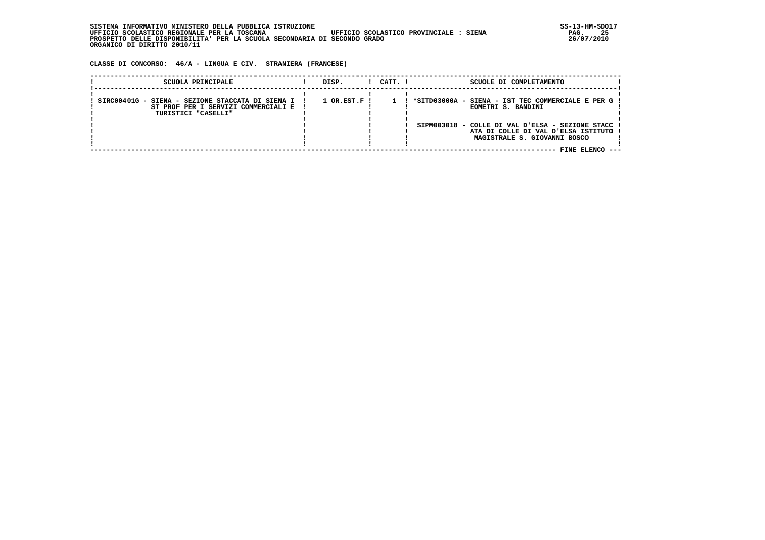| SISTEMA INFORMATIVO MINISTERO DELLA PUBBLICA ISTRUZIONE                               | SS-13-HM-SDC |
|---------------------------------------------------------------------------------------|--------------|
| UFFICIO SCOLASTICO REGIONALE PER LA TOSCANA<br>UFFICIO SCOLASTICO PROVINCIALE : SIENA | 25<br>PAG.   |
| PROSPETTO DELLE DISPONIBILITA' PER LA SCUOLA SECONDARIA DI SECONDO GRADO              | 26/07/2010   |
| ORGANICO DI DIRITTO 2010/11                                                           |              |

 **CLASSE DI CONCORSO: 46/A - LINGUA E CIV. STRANIERA (FRANCESE)**

| SCUOLA PRINCIPALE                                                                                                | DISP.                       | CATT. I | SCUOLE DI COMPLETAMENTO                                                                                                                                                                                    |
|------------------------------------------------------------------------------------------------------------------|-----------------------------|---------|------------------------------------------------------------------------------------------------------------------------------------------------------------------------------------------------------------|
| SIRC00401G - SIENA - SEZIONE STACCATA DI SIENA I !<br>ST PROF PER I SERVIZI COMMERCIALI E<br>TURISTICI "CASELLI" | $1$ OR.EST.F $\overline{1}$ |         | ! *SITD03000A - SIENA - IST TEC COMMERCIALE E PER G !<br>EOMETRI S. BANDINI<br>SIPM003018 - COLLE DI VAL D'ELSA - SEZIONE STACC !<br>ATA DI COLLE DI VAL D'ELSA ISTITUTO !<br>MAGISTRALE S. GIOVANNI BOSCO |
|                                                                                                                  |                             |         | FINE ELENCO<br>----                                                                                                                                                                                        |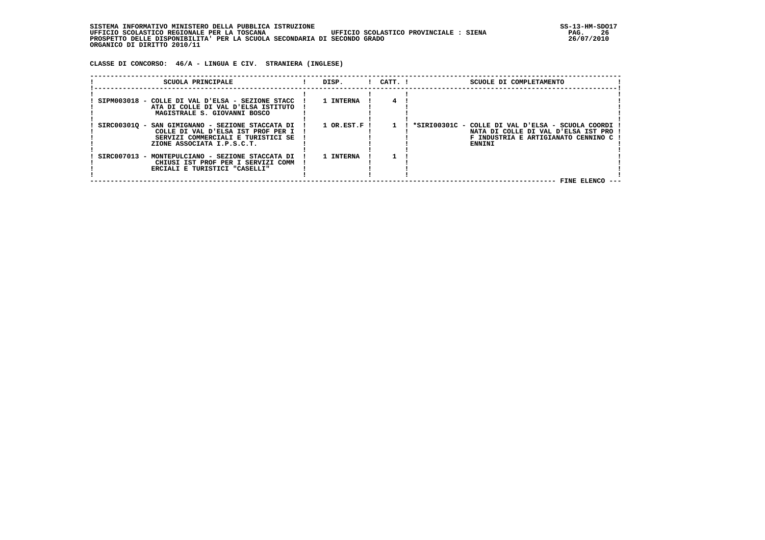| . INFORMATIVO MINISTERO DELLA PUBBLICA ISTRUZIONE<br>STSTEMA                          | SS-13-HM-SDC |
|---------------------------------------------------------------------------------------|--------------|
| UFFICIO SCOLASTICO REGIONALE PER LA TOSCANA<br>UFFICIO SCOLASTICO PROVINCIALE : SIENA | 26<br>PAG.   |
| PROSPETTO DELLE DISPONIBILITA' PER LA SCUOLA SECONDARIA DI SECONDO GRADO              | 26/07/2010   |
| ORGANICO DI DIRITTO 2010/11                                                           |              |

 **CLASSE DI CONCORSO: 46/A - LINGUA E CIV. STRANIERA (INGLESE)**

| SCUOLA PRINCIPALE                                                                                                                                          | DISP.                       | $1$ $CATT$ . $1$ | SCUOLE DI COMPLETAMENTO                                                                                                                     |
|------------------------------------------------------------------------------------------------------------------------------------------------------------|-----------------------------|------------------|---------------------------------------------------------------------------------------------------------------------------------------------|
| SIPM003018 - COLLE DI VAL D'ELSA - SEZIONE STACC<br>ATA DI COLLE DI VAL D'ELSA ISTITUTO<br>MAGISTRALE S. GIOVANNI BOSCO                                    | 1 INTERNA                   |                  |                                                                                                                                             |
| SIRC003010 - SAN GIMIGNANO - SEZIONE STACCATA DI<br>COLLE DI VAL D'ELSA IST PROF PER I<br>SERVIZI COMMERCIALI E TURISTICI SE<br>ZIONE ASSOCIATA I.P.S.C.T. | $1$ OR.EST.F $\overline{1}$ |                  | ! *SIRI00301C - COLLE DI VAL D'ELSA - SCUOLA COORDI<br>NATA DI COLLE DI VAL D'ELSA IST PRO<br>F INDUSTRIA E ARTIGIANATO CENNINO C<br>ENNINI |
| SIRC007013 - MONTEPULCIANO - SEZIONE STACCATA DI<br>CHIUSI IST PROF PER I SERVIZI COMM<br>ERCIALI E TURISTICI "CASELLI"                                    | 1 TNTERNA                   |                  | FINE ELENCO                                                                                                                                 |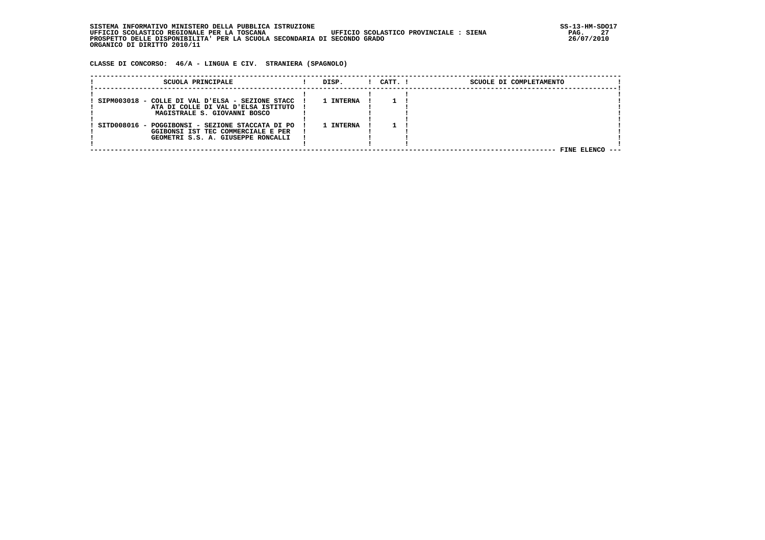| SISTEMA INFORMATIVO MINISTERO DELLA PUBBLICA ISTRUZIONE                               | SS-13-HM-SDC |
|---------------------------------------------------------------------------------------|--------------|
| UFFICIO SCOLASTICO REGIONALE PER LA TOSCANA<br>UFFICIO SCOLASTICO PROVINCIALE : SIENA | 27<br>PAG.   |
| PROSPETTO DELLE DISPONIBILITA' PER LA SCUOLA SECONDARIA DI SECONDO GRADO              | 26/07/2010   |
| ORGANICO DI DIRITTO 2010/11                                                           |              |

 **CLASSE DI CONCORSO: 46/A - LINGUA E CIV. STRANIERA (SPAGNOLO)**

| SCUOLA PRINCIPALE                                                                                                      | DISP.     | CATT. ! | SCUOLE DI COMPLETAMENTO |
|------------------------------------------------------------------------------------------------------------------------|-----------|---------|-------------------------|
| SIPM003018 - COLLE DI VAL D'ELSA - SEZIONE STACC<br>ATA DI COLLE DI VAL D'ELSA ISTITUTO                                | 1 INTERNA |         |                         |
| MAGISTRALE S. GIOVANNI BOSCO<br>SITD008016 - POGGIBONSI - SEZIONE STACCATA DI PO<br>GGIBONSI IST TEC COMMERCIALE E PER | 1 INTERNA |         |                         |
| GEOMETRI S.S. A. GIUSEPPE RONCALLI                                                                                     |           |         | FINE ELENCO ---         |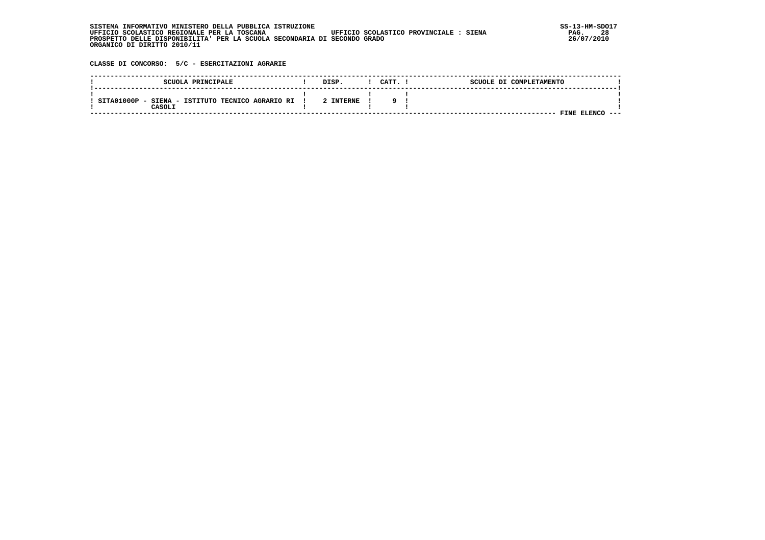| SISTEMA INFORMATIVO MINISTERO DELLA PUBBLICA ISTRUZIONE                               | SS-13-HM-SDC |
|---------------------------------------------------------------------------------------|--------------|
| UFFICIO SCOLASTICO REGIONALE PER LA TOSCANA<br>UFFICIO SCOLASTICO PROVINCIALE : SIENA | 28<br>PAG.   |
| PROSPETTO DELLE DISPONIBILITA' PER LA SCUOLA SECONDARIA DI SECONDO GRADO              | 26/07/2010   |
| ORGANICO DI DIRITTO 2010/11                                                           |              |

 **CLASSE DI CONCORSO: 5/C - ESERCITAZIONI AGRARIE**

| SCUOLA PRINCIPALE                                             | <b>DISP</b> | CATT. | SCUOLE DI COMPLETAMENTO |      |
|---------------------------------------------------------------|-------------|-------|-------------------------|------|
| SITA01000P<br>- SIENA - ISTITUTO TECNICO AGRARIO RI<br>CASOLI | 2 INTERNE   |       |                         |      |
|                                                               |             |       | ELENCO<br>FINE          | ---- |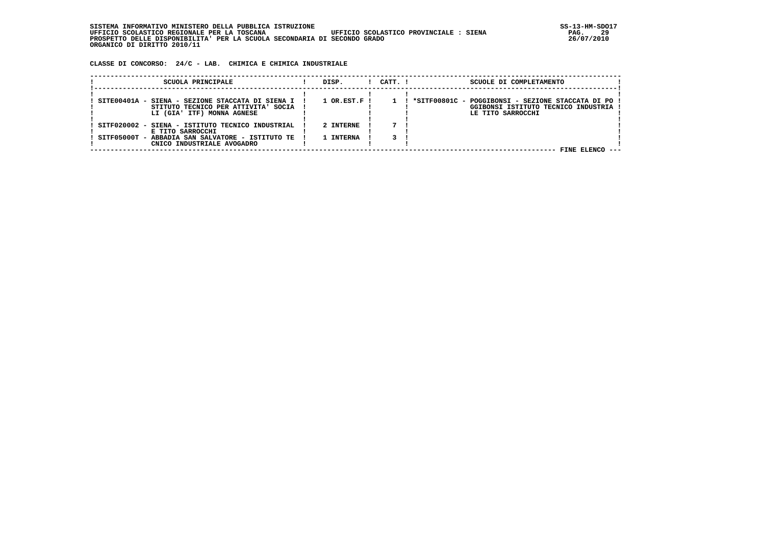| SISTEMA INFORMATIVO MINISTERO DELLA PUBBLICA ISTRUZIONE                               | SS-13-HM-SDC |
|---------------------------------------------------------------------------------------|--------------|
| UFFICIO SCOLASTICO REGIONALE PER LA TOSCANA<br>UFFICIO SCOLASTICO PROVINCIALE : SIENA | 29<br>PAG.   |
| PROSPETTO DELLE DISPONIBILITA' PER LA SCUOLA SECONDARIA DI SECONDO GRADO              | 26/07/2010   |
| ORGANICO DI DIRITTO 2010/11                                                           |              |

 **CLASSE DI CONCORSO: 24/C - LAB. CHIMICA E CHIMICA INDUSTRIALE**

| SCUOLA PRINCIPALE                                                                         | DISP.                       | CATT. I | SCUOLE DI COMPLETAMENTO                                                                     |  |
|-------------------------------------------------------------------------------------------|-----------------------------|---------|---------------------------------------------------------------------------------------------|--|
|                                                                                           |                             |         |                                                                                             |  |
| SITE00401A - SIENA - SEZIONE STACCATA DI SIENA I !<br>STITUTO TECNICO PER ATTIVITA' SOCIA | $1$ OR.EST.F $\overline{1}$ |         | ! *SITF00801C - POGGIBONSI - SEZIONE STACCATA DI PO!<br>GGIBONSI ISTITUTO TECNICO INDUSTRIA |  |
| LI (GIA' ITF) MONNA AGNESE                                                                |                             |         | LE TITO SARROCCHI                                                                           |  |
| SITF020002 - SIENA - ISTITUTO TECNICO INDUSTRIAL<br>E TITO SARROCCHI                      | 2 INTERNE                   |         |                                                                                             |  |
| SITF05000T - ABBADIA SAN SALVATORE - ISTITUTO TE                                          | 1 INTERNA                   |         |                                                                                             |  |
| CNICO INDUSTRIALE AVOGADRO                                                                |                             |         | FINE ELENCO                                                                                 |  |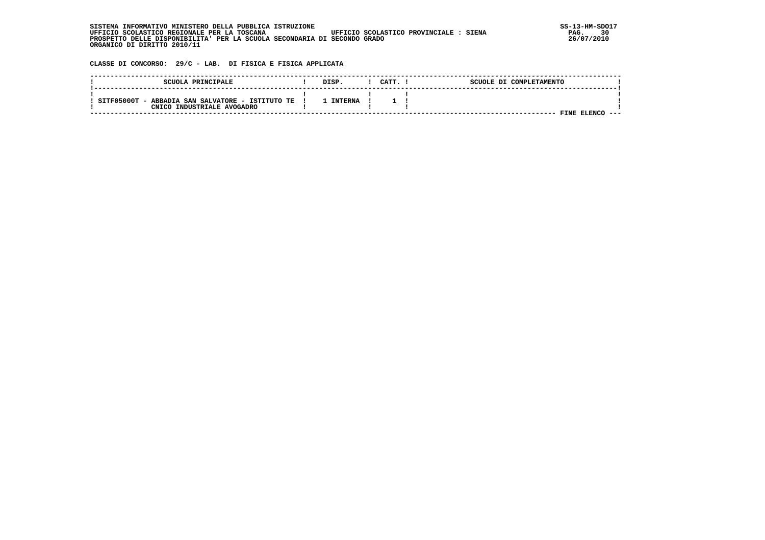| . INFORMATIVO MINISTERO DELLA PUBBLICA ISTRUZIONE<br>STSTEMA                          | SS-13-HM-SDC |
|---------------------------------------------------------------------------------------|--------------|
| UFFICIO SCOLASTICO PROVINCIALE : SIENA<br>UFFICIO SCOLASTICO REGIONALE PER LA TOSCANA | 30<br>PAG.   |
| PROSPETTO DELLE DISPONIBILITA' PER LA SCUOLA SECONDARIA DI SECONDO GRADO              | 26/07/2010   |
| ORGANICO DI DIRITTO 2010/11                                                           |              |

## **CLASSE DI CONCORSO: 29/C - LAB. DI FISICA E FISICA APPLICATA**

| SCUOLA PRINCIPALE                                                              | DISP           | CATT. | SCUOLE DI COMPLETAMENTO |         |
|--------------------------------------------------------------------------------|----------------|-------|-------------------------|---------|
| SITF05000T - ABBADIA SAN SALVATORE - ISTITUTO TE<br>CNICO INDUSTRIALE AVOGADRO | <b>INTERNA</b> |       | <b>ELENC</b><br>FINE    | $- - -$ |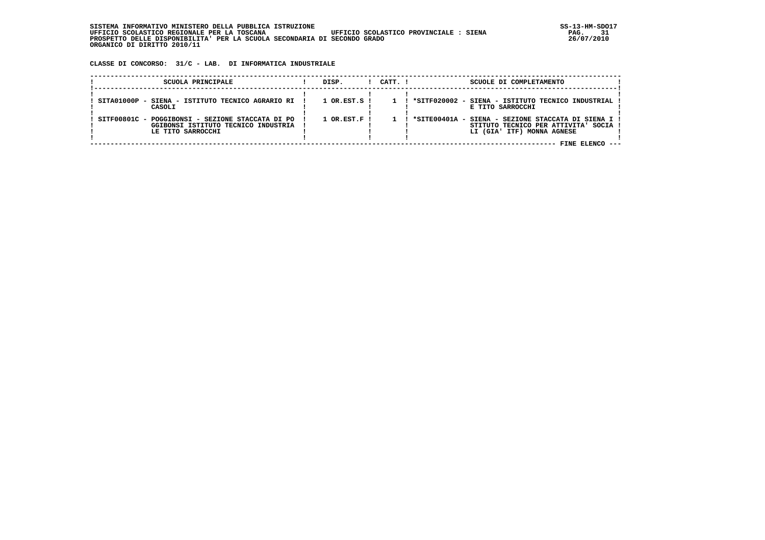**CLASSE DI CONCORSO: 31/C - LAB. DI INFORMATICA INDUSTRIALE**

| SCUOLA PRINCIPALE                                                                                            | DISP.                       | CATT. I | SCUOLE DI COMPLETAMENTO                                                                                                                       |  |
|--------------------------------------------------------------------------------------------------------------|-----------------------------|---------|-----------------------------------------------------------------------------------------------------------------------------------------------|--|
| SITA01000P - SIENA - ISTITUTO TECNICO AGRARIO RI<br>CASOLI                                                   | $1$ OR.EST.S !              |         | *SITF020002 - SIENA - ISTITUTO TECNICO INDUSTRIAL<br>E TITO SARROCCHI                                                                         |  |
| SITF00801C - POGGIBONSI - SEZIONE STACCATA DI PO<br>GGIBONSI ISTITUTO TECNICO INDUSTRIA<br>LE TITO SARROCCHI | $1$ OR.EST.F $\blacksquare$ |         | 1 ! *SITE00401A - SIENA - SEZIONE STACCATA DI SIENA I !<br>STITUTO TECNICO PER ATTIVITA' SOCIA !<br>LI (GIA' ITF) MONNA AGNESE<br>FINE ELENCO |  |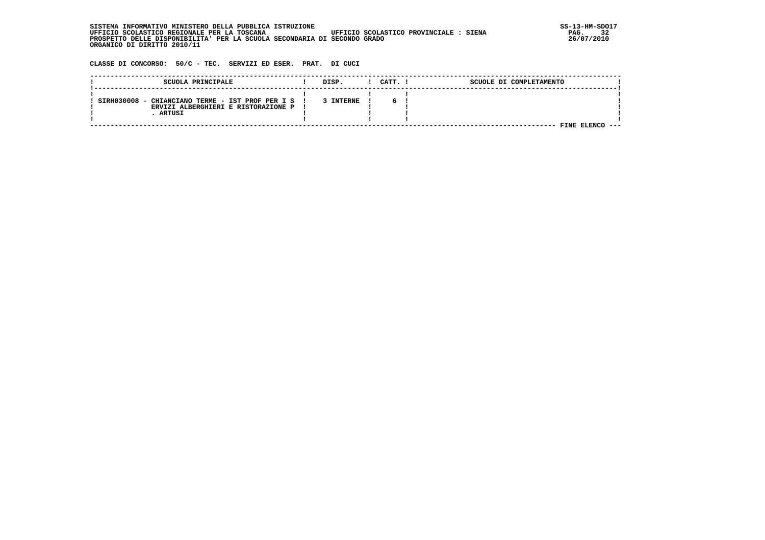**SISTEMA INFORMATIVO MINISTERO DELLA PUBBLICA ISTRUZIONE SS-13-HM-SDO17 UFFICIO SCOLASTICO REGIONALE PER LA TOSCANA UFFICIO SCOLASTICO PROVINCIALE : SIENA PAG. 32 PROSPETTO DELLE DISPONIBILITA' PER LA SCUOLA SECONDARIA DI SECONDO GRADO 26/07/2010 ORGANICO DI DIRITTO 2010/11**

 **CLASSE DI CONCORSO: 50/C - TEC. SERVIZI ED ESER. PRAT. DI CUCI**

| SCUOLA PRINCIPALE                                                                       | DISP.     | CATT. 1 | SCUOLE DI COMPLETAMENTO |  |
|-----------------------------------------------------------------------------------------|-----------|---------|-------------------------|--|
|                                                                                         |           |         |                         |  |
| SIRH030008 - CHIANCIANO TERME - IST PROF PER I S<br>ERVIZI ALBERGHIERI E RISTORAZIONE P | 3 INTERNE |         |                         |  |
| ARTUSI                                                                                  |           |         |                         |  |
|                                                                                         |           |         |                         |  |